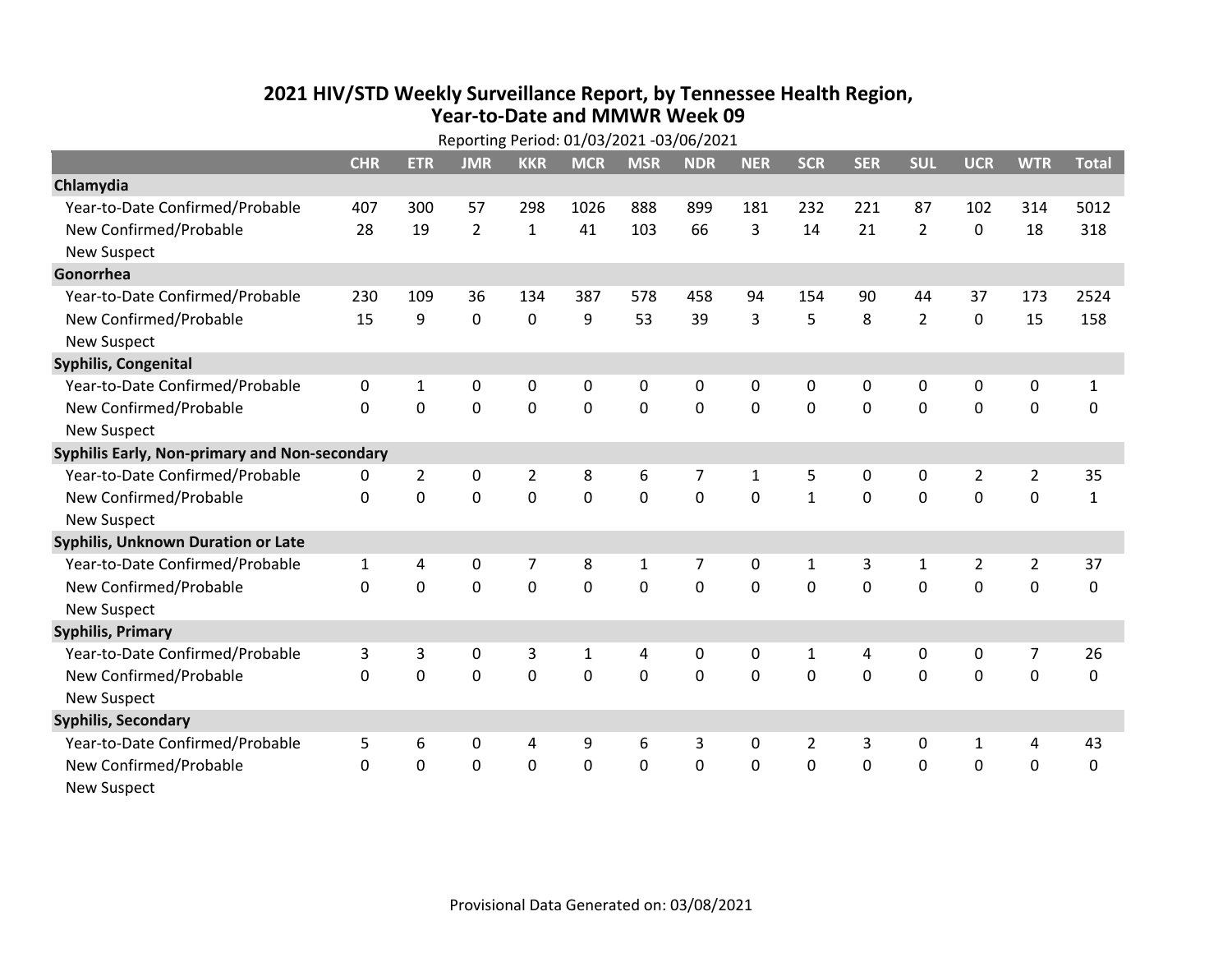## **2021 HIV /STD Weekly Surveillance Report, by Tennessee Health Region, Year‐to‐Date and MMWR Week 09** Reporting Period: 01/03/2021 ‐03/06/2021

|                                               | Reporting Period: 01/03/2021 -03/06/2021 |                |                |                |              |              |             |              |                |              |                |                |                |              |
|-----------------------------------------------|------------------------------------------|----------------|----------------|----------------|--------------|--------------|-------------|--------------|----------------|--------------|----------------|----------------|----------------|--------------|
|                                               | <b>CHR</b>                               | <b>ETR</b>     | <b>JMR</b>     | <b>KKR</b>     | <b>MCR</b>   | <b>MSR</b>   | <b>NDR</b>  | <b>NER</b>   | <b>SCR</b>     | <b>SER</b>   | <b>SUL</b>     | <b>UCR</b>     | <b>WTR</b>     | <b>Total</b> |
| Chlamydia                                     |                                          |                |                |                |              |              |             |              |                |              |                |                |                |              |
| Year-to-Date Confirmed/Probable               | 407                                      | 300            | 57             | 298            | 1026         | 888          | 899         | 181          | 232            | 221          | 87             | 102            | 314            | 5012         |
| New Confirmed/Probable                        | 28                                       | 19             | $\overline{2}$ | $\mathbf 1$    | 41           | 103          | 66          | 3            | 14             | 21           | $\overline{2}$ | $\mathbf 0$    | 18             | 318          |
| <b>New Suspect</b>                            |                                          |                |                |                |              |              |             |              |                |              |                |                |                |              |
| Gonorrhea                                     |                                          |                |                |                |              |              |             |              |                |              |                |                |                |              |
| Year-to-Date Confirmed/Probable               | 230                                      | 109            | 36             | 134            | 387          | 578          | 458         | 94           | 154            | 90           | 44             | 37             | 173            | 2524         |
| New Confirmed/Probable                        | 15                                       | 9              | 0              | 0              | 9            | 53           | 39          | 3            | 5              | 8            | $\overline{2}$ | $\mathbf 0$    | 15             | 158          |
| <b>New Suspect</b>                            |                                          |                |                |                |              |              |             |              |                |              |                |                |                |              |
| <b>Syphilis, Congenital</b>                   |                                          |                |                |                |              |              |             |              |                |              |                |                |                |              |
| Year-to-Date Confirmed/Probable               | 0                                        | 1              | 0              | 0              | 0            | 0            | 0           | 0            | 0              | $\mathbf{0}$ | 0              | 0              | 0              | $\mathbf{1}$ |
| New Confirmed/Probable                        | $\Omega$                                 | $\mathbf 0$    | 0              | 0              | $\mathbf 0$  | $\mathbf 0$  | 0           | $\Omega$     | $\Omega$       | $\mathbf 0$  | $\mathbf 0$    | $\mathbf 0$    | $\mathbf 0$    | 0            |
| <b>New Suspect</b>                            |                                          |                |                |                |              |              |             |              |                |              |                |                |                |              |
| Syphilis Early, Non-primary and Non-secondary |                                          |                |                |                |              |              |             |              |                |              |                |                |                |              |
| Year-to-Date Confirmed/Probable               | 0                                        | $\overline{2}$ | 0              | $\overline{2}$ | 8            | 6            | 7           | $\mathbf{1}$ | 5              | 0            | 0              | $\overline{2}$ | $\overline{2}$ | 35           |
| New Confirmed/Probable                        | $\Omega$                                 | $\mathbf 0$    | $\Omega$       | 0              | 0            | $\mathbf 0$  | 0           | $\Omega$     | $\mathbf{1}$   | $\mathbf 0$  | 0              | 0              | $\mathbf 0$    | $\mathbf{1}$ |
| <b>New Suspect</b>                            |                                          |                |                |                |              |              |             |              |                |              |                |                |                |              |
| Syphilis, Unknown Duration or Late            |                                          |                |                |                |              |              |             |              |                |              |                |                |                |              |
| Year-to-Date Confirmed/Probable               | $\mathbf{1}$                             | 4              | 0              | $\overline{7}$ | 8            | $\mathbf{1}$ | 7           | 0            | $\mathbf{1}$   | 3            | 1              | $\overline{2}$ | $\overline{2}$ | 37           |
| New Confirmed/Probable                        | 0                                        | 0              | 0              | 0              | 0            | $\mathbf 0$  | $\mathbf 0$ | $\Omega$     | $\Omega$       | $\mathbf{0}$ | $\Omega$       | 0              | $\mathbf 0$    | 0            |
| <b>New Suspect</b>                            |                                          |                |                |                |              |              |             |              |                |              |                |                |                |              |
| <b>Syphilis, Primary</b>                      |                                          |                |                |                |              |              |             |              |                |              |                |                |                |              |
| Year-to-Date Confirmed/Probable               | 3                                        | 3              | 0              | 3              | $\mathbf{1}$ | 4            | 0           | $\mathbf{0}$ | $\mathbf{1}$   | 4            | $\mathbf{0}$   | 0              | 7              | 26           |
| New Confirmed/Probable                        | $\Omega$                                 | $\Omega$       | $\mathbf 0$    | 0              | $\Omega$     | $\Omega$     | $\Omega$    | $\Omega$     | $\Omega$       | $\mathbf{0}$ | $\Omega$       | $\Omega$       | $\mathbf 0$    | 0            |
| <b>New Suspect</b>                            |                                          |                |                |                |              |              |             |              |                |              |                |                |                |              |
| <b>Syphilis, Secondary</b>                    |                                          |                |                |                |              |              |             |              |                |              |                |                |                |              |
| Year-to-Date Confirmed/Probable               | 5                                        | 6              | 0              | 4              | 9            | 6            | 3           | $\mathbf{0}$ | $\overline{2}$ | 3            | 0              | 1              | 4              | 43           |
| New Confirmed/Probable                        | $\Omega$                                 | 0              | $\mathbf 0$    | 0              | $\mathbf 0$  | $\mathbf 0$  | $\Omega$    | $\Omega$     | $\Omega$       | $\mathbf 0$  | $\mathbf 0$    | $\mathbf 0$    | $\mathbf 0$    | $\mathbf 0$  |
| New Suspect                                   |                                          |                |                |                |              |              |             |              |                |              |                |                |                |              |